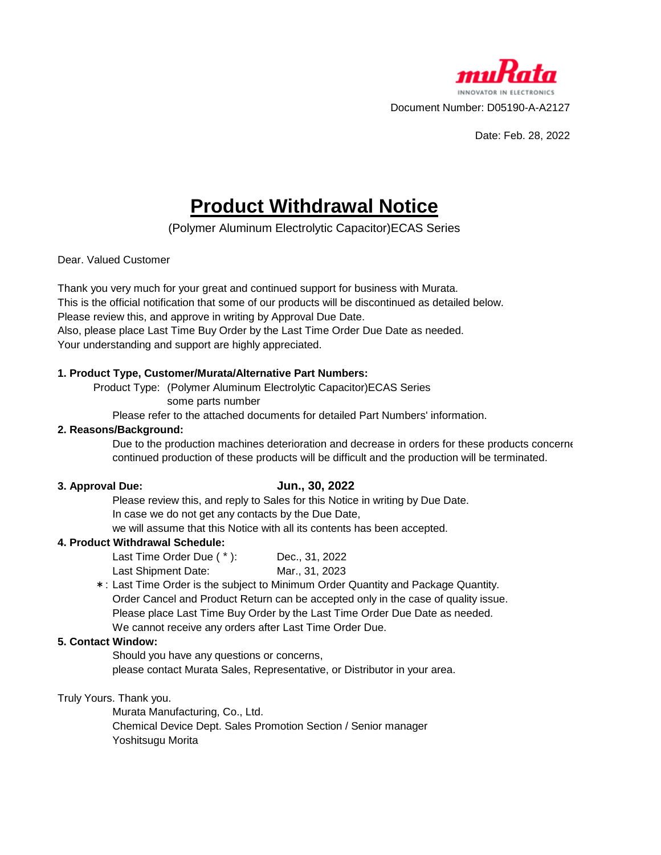

Date: Feb. 28, 2022

# **Product Withdrawal Notice**

(Polymer Aluminum Electrolytic Capacitor)ECAS Series

#### Dear. Valued Customer

Thank you very much for your great and continued support for business with Murata. This is the official notification that some of our products will be discontinued as detailed below. Please review this, and approve in writing by Approval Due Date. Also, please place Last Time Buy Order by the Last Time Order Due Date as needed. Your understanding and support are highly appreciated.

### **1. Product Type, Customer/Murata/Alternative Part Numbers:**

Product Type: (Polymer Aluminum Electrolytic Capacitor)ECAS Series some parts number

Please refer to the attached documents for detailed Part Numbers' information.

### **2. Reasons/Background:**

Due to the production machines deterioration and decrease in orders for these products concerne continued production of these products will be difficult and the production will be terminated.

#### **3. Approval Due:**

# **Jun., 30, 2022**

Please review this, and reply to Sales for this Notice in writing by Due Date.

In case we do not get any contacts by the Due Date,

we will assume that this Notice with all its contents has been accepted.

# **4. Product Withdrawal Schedule:**

| Last Time Order Due (*): | Dec., 31, 2022 |
|--------------------------|----------------|
| Last Shipment Date:      | Mar., 31, 2023 |

\*: Last Time Order is the subject to Minimum Order Quantity and Package Quantity. Order Cancel and Product Return can be accepted only in the case of quality issue. Please place Last Time Buy Order by the Last Time Order Due Date as needed. We cannot receive any orders after Last Time Order Due.

#### **5. Contact Window:**

Should you have any questions or concerns,

please contact Murata Sales, Representative, or Distributor in your area.

Truly Yours. Thank you.

Murata Manufacturing, Co., Ltd. Chemical Device Dept. Sales Promotion Section / Senior manager Yoshitsugu Morita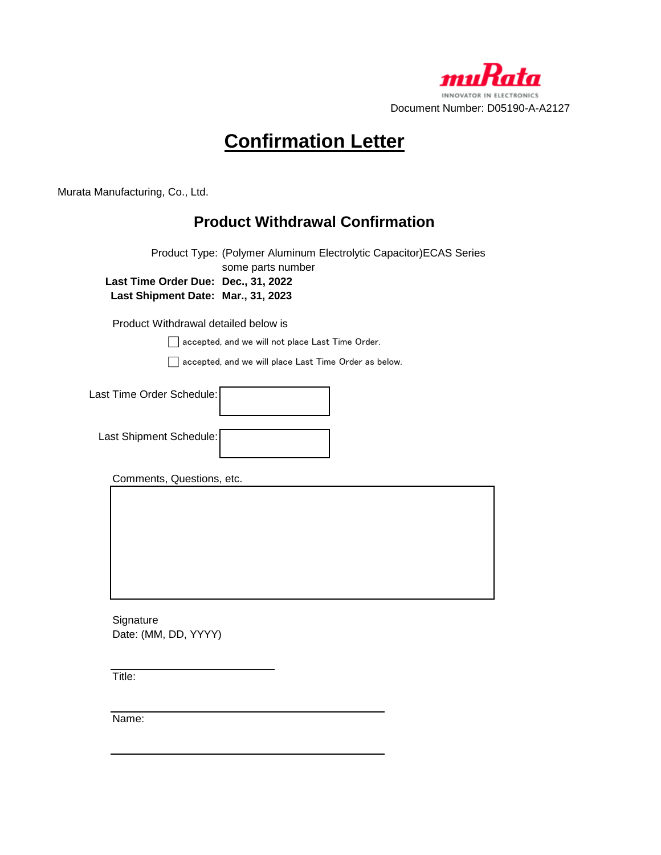

# **Confirmation Letter**

Murata Manufacturing, Co., Ltd.

# **Product Withdrawal Confirmation**

Product Type: (Polymer Aluminum Electrolytic Capacitor)ECAS Series some parts number **Last Time Order Due: Dec., 31, 2022 Last Shipment Date: Mar., 31, 2023**

Product Withdrawal detailed below is

accepted, and we will not place Last Time Order.

accepted, and we will place Last Time Order as below.

| Last Time Order Schedule: |  |
|---------------------------|--|
| Last Shipment Schedule:   |  |

Comments, Questions, etc.

**Signature** Date: (MM, DD, YYYY)

Title:

Name: